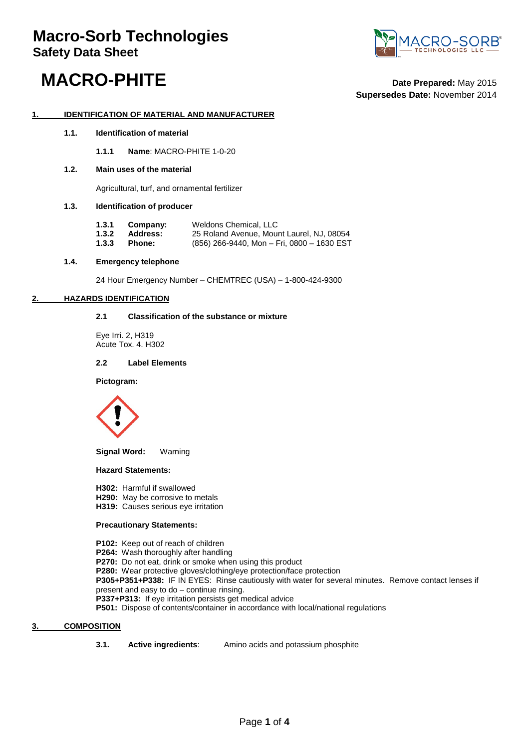

## **MACRO-PHITE Date Prepared:** May <sup>2015</sup>

**Supersedes Date:** November 2014

#### **1. IDENTIFICATION OF MATERIAL AND MANUFACTURER**

**1.1. Identification of material**

**1.1.1 Name**: MACRO-PHITE 1-0-20

#### **1.2. Main uses of the material**

Agricultural, turf, and ornamental fertilizer

#### **1.3. Identification of producer**

| 1.3.1 | Company:        | Weldons Chemical, LLC                      |
|-------|-----------------|--------------------------------------------|
| 1.3.2 | <b>Address:</b> | 25 Roland Avenue, Mount Laurel, NJ, 08054  |
| 1.3.3 | Phone:          | (856) 266-9440, Mon - Fri, 0800 - 1630 EST |

#### **1.4. Emergency telephone**

24 Hour Emergency Number – CHEMTREC (USA) – 1-800-424-9300

#### **2. HAZARDS IDENTIFICATION**

#### **2.1 Classification of the substance or mixture**

Eye Irri. 2, H319 Acute Tox. 4. H302

#### **2.2 Label Elements**

**Pictogram:**



**Signal Word:** Warning

#### **Hazard Statements:**

**H302:** Harmful if swallowed

- **H290:** May be corrosive to metals
- **H319:** Causes serious eye irritation

#### **Precautionary Statements:**

**P102:** Keep out of reach of children **P264:** Wash thoroughly after handling **P270:** Do not eat, drink or smoke when using this product **P280:** Wear protective gloves/clothing/eye protection/face protection **P305+P351+P338:** IF IN EYES: Rinse cautiously with water for several minutes. Remove contact lenses if present and easy to do – continue rinsing. **P337+P313:** If eye irritation persists get medical advice

**P501:** Dispose of contents/container in accordance with local/national regulations

#### **3. COMPOSITION**

**3.1. Active ingredients**: Amino acids and potassium phosphite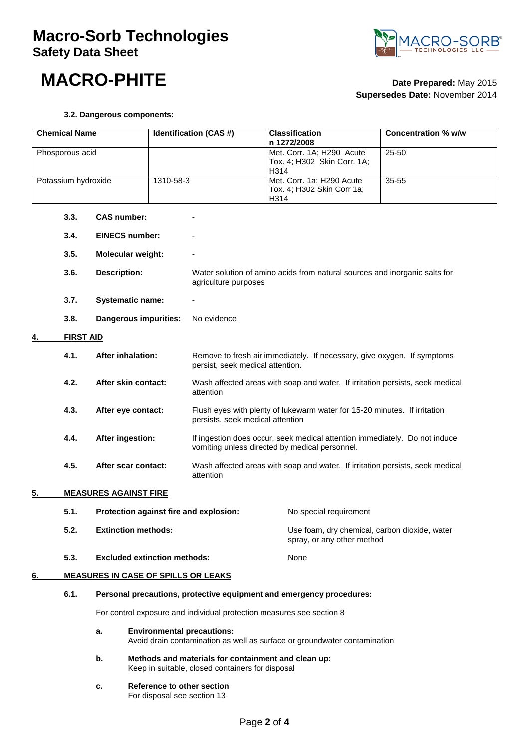### **Macro-Sorb Technologies Safety Data Sheet**



### **MACRO-PHITE Date Prepared:** May <sup>2015</sup>

# **Supersedes Date:** November 2014

#### **3.2. Dangerous components:**

| <b>Chemical Name</b> |                            | <b>Identification (CAS#)</b>                                                                                                                                                                                                                                                                                                                                                      |                                                                                                               | <b>Classification</b><br>n 1272/2008                                                                                         | <b>Concentration % w/w</b>                                           |                                               |  |
|----------------------|----------------------------|-----------------------------------------------------------------------------------------------------------------------------------------------------------------------------------------------------------------------------------------------------------------------------------------------------------------------------------------------------------------------------------|---------------------------------------------------------------------------------------------------------------|------------------------------------------------------------------------------------------------------------------------------|----------------------------------------------------------------------|-----------------------------------------------|--|
| Phosporous acid      |                            |                                                                                                                                                                                                                                                                                                                                                                                   |                                                                                                               | Met. Corr. 1A; H290 Acute<br>Tox. 4; H302 Skin Corr. 1A;<br>H314                                                             | 25-50                                                                |                                               |  |
|                      | Potassium hydroxide        |                                                                                                                                                                                                                                                                                                                                                                                   | 1310-58-3                                                                                                     |                                                                                                                              | Met. Corr. 1a; H290 Acute<br>Tox. 4; H302 Skin Corr 1a;<br>H314      | 35-55                                         |  |
|                      | 3.3.                       | <b>CAS number:</b>                                                                                                                                                                                                                                                                                                                                                                |                                                                                                               |                                                                                                                              |                                                                      |                                               |  |
|                      | 3.4.                       | <b>EINECS number:</b>                                                                                                                                                                                                                                                                                                                                                             |                                                                                                               |                                                                                                                              |                                                                      |                                               |  |
|                      | 3.5.                       | Molecular weight:                                                                                                                                                                                                                                                                                                                                                                 |                                                                                                               |                                                                                                                              |                                                                      |                                               |  |
|                      | 3.6.                       | <b>Description:</b>                                                                                                                                                                                                                                                                                                                                                               |                                                                                                               | Water solution of amino acids from natural sources and inorganic salts for<br>agriculture purposes                           |                                                                      |                                               |  |
|                      | 3.7.                       | <b>Systematic name:</b>                                                                                                                                                                                                                                                                                                                                                           |                                                                                                               |                                                                                                                              |                                                                      |                                               |  |
|                      | 3.8.                       | Dangerous impurities:                                                                                                                                                                                                                                                                                                                                                             |                                                                                                               | No evidence                                                                                                                  |                                                                      |                                               |  |
|                      | <b>FIRST AID</b>           |                                                                                                                                                                                                                                                                                                                                                                                   |                                                                                                               |                                                                                                                              |                                                                      |                                               |  |
|                      | 4.1.                       | <b>After inhalation:</b><br>4.2.<br>After skin contact:                                                                                                                                                                                                                                                                                                                           |                                                                                                               | Remove to fresh air immediately. If necessary, give oxygen. If symptoms<br>persist, seek medical attention.                  |                                                                      |                                               |  |
|                      |                            |                                                                                                                                                                                                                                                                                                                                                                                   |                                                                                                               | Wash affected areas with soap and water. If irritation persists, seek medical<br>attention                                   |                                                                      |                                               |  |
|                      | 4.3.<br>After eye contact: |                                                                                                                                                                                                                                                                                                                                                                                   | Flush eyes with plenty of lukewarm water for 15-20 minutes. If irritation<br>persists, seek medical attention |                                                                                                                              |                                                                      |                                               |  |
|                      | 4.4.                       | After ingestion:<br>After scar contact:                                                                                                                                                                                                                                                                                                                                           |                                                                                                               | If ingestion does occur, seek medical attention immediately. Do not induce<br>vomiting unless directed by medical personnel. |                                                                      |                                               |  |
|                      | 4.5.                       |                                                                                                                                                                                                                                                                                                                                                                                   |                                                                                                               | Wash affected areas with soap and water. If irritation persists, seek medical<br>attention                                   |                                                                      |                                               |  |
| 5.                   |                            | <b>MEASURES AGAINST FIRE</b>                                                                                                                                                                                                                                                                                                                                                      |                                                                                                               |                                                                                                                              |                                                                      |                                               |  |
|                      | 5.1.                       | Protection against fire and explosion:                                                                                                                                                                                                                                                                                                                                            |                                                                                                               |                                                                                                                              | No special requirement                                               |                                               |  |
|                      | 5.2.                       | <b>Extinction methods:</b>                                                                                                                                                                                                                                                                                                                                                        |                                                                                                               |                                                                                                                              | spray, or any other method                                           | Use foam, dry chemical, carbon dioxide, water |  |
|                      | 5.3.                       | <b>Excluded extinction methods:</b>                                                                                                                                                                                                                                                                                                                                               |                                                                                                               |                                                                                                                              | None                                                                 |                                               |  |
| 6.                   |                            | <b>MEASURES IN CASE OF SPILLS OR LEAKS</b>                                                                                                                                                                                                                                                                                                                                        |                                                                                                               |                                                                                                                              |                                                                      |                                               |  |
|                      | 6.1.                       |                                                                                                                                                                                                                                                                                                                                                                                   |                                                                                                               |                                                                                                                              | Personal precautions, protective equipment and emergency procedures: |                                               |  |
|                      |                            | For control exposure and individual protection measures see section 8<br><b>Environmental precautions:</b><br>а.<br>Avoid drain contamination as well as surface or groundwater contamination<br>b.<br>Methods and materials for containment and clean up:<br>Keep in suitable, closed containers for disposal<br>Reference to other section<br>c.<br>For disposal see section 13 |                                                                                                               |                                                                                                                              |                                                                      |                                               |  |
|                      |                            |                                                                                                                                                                                                                                                                                                                                                                                   |                                                                                                               |                                                                                                                              |                                                                      |                                               |  |
|                      |                            |                                                                                                                                                                                                                                                                                                                                                                                   |                                                                                                               |                                                                                                                              |                                                                      |                                               |  |
|                      |                            |                                                                                                                                                                                                                                                                                                                                                                                   |                                                                                                               |                                                                                                                              |                                                                      |                                               |  |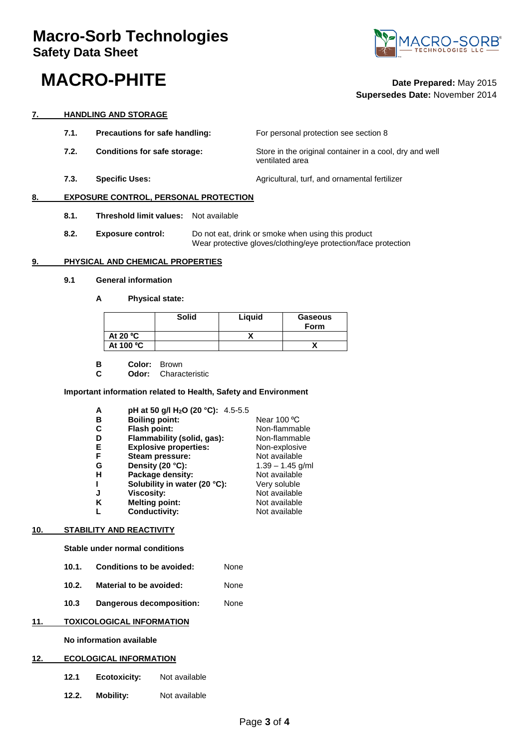### **MACRO-PHITE Date Prepared:** May <sup>2015</sup>



## **Supersedes Date:** November 2014

#### **7. HANDLING AND STORAGE**

- **7.1. Precautions for safe handling:** For personal protection see section 8
- **7.2. Conditions for safe storage:** Store in the original container in a cool, dry and well
- **7.3. Specific Uses: Agricultural, turf, and ornamental fertilizer Agricultural**, turf, and ornamental fertilizer

#### **8. EXPOSURE CONTROL, PERSONAL PROTECTION**

- **8.1. Threshold limit values:** Not available
- **8.2. Exposure control:** Do not eat, drink or smoke when using this product Wear protective gloves/clothing/eye protection/face protection

ventilated area

#### **9. PHYSICAL AND CHEMICAL PROPERTIES**

- **9.1 General information**
	- **A Physical state:**

|            | <b>Solid</b> | Liquid | Gaseous<br><b>Form</b> |
|------------|--------------|--------|------------------------|
| At 20 $°C$ |              |        |                        |
| At 100 °C  |              |        |                        |

- **B Color:** Brown<br>**C Odor:** Charae
	- **C Odor:** Characteristic

#### **Important information related to Health, Safety and Environment**

| A | pH at 50 g/l H <sub>2</sub> O (20 °C): 4.5-5.5 |                    |
|---|------------------------------------------------|--------------------|
| в | <b>Boiling point:</b>                          | Near 100 °C        |
| C | Flash point:                                   | Non-flammable      |
|   | Flammability (solid, gas):                     | Non-flammable      |
| Е | <b>Explosive properties:</b>                   | Non-explosive      |
| F | Steam pressure:                                | Not available      |
| G | Density (20 °C):                               | $1.39 - 1.45$ g/ml |
| н | Package density:                               | Not available      |
|   | Solubility in water (20 °C):                   | Very soluble       |
| J | <b>Viscosity:</b>                              | Not available      |
| κ | <b>Melting point:</b>                          | Not available      |
|   | <b>Conductivity:</b>                           | Not available      |

#### **10. STABILITY AND REACTIVITY**

**Stable under normal conditions** 

- **10.1. Conditions to be avoided:** None
- **10.2. Material to be avoided:** None
- **10.3 Dangerous decomposition:** None

#### **11. TOXICOLOGICAL INFORMATION**

#### **No information available**

#### **12. ECOLOGICAL INFORMATION**

- **12.1 Ecotoxicity:** Not available
- **12.2. Mobility:** Not available